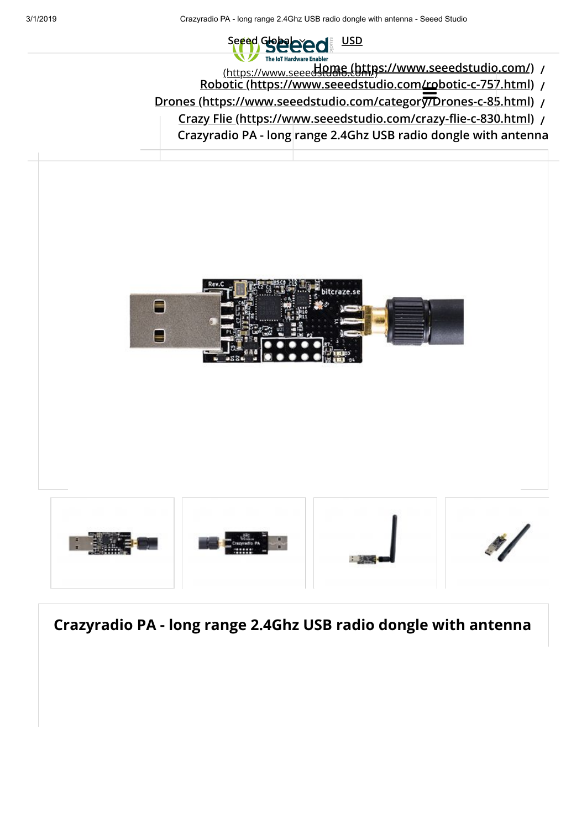### Seeed Global **Property** The IoT Hardware Enabler

- **[Home \(https://www.seeedstudio.com/\)](https://www.seeedstudio.com/) /** [\(https://www.seeedstudio.com/\)](https://www.seeedstudio.com/)
- **[Robotic \(https://www.seeedstudio.com/robotic-c-757.html\)](https://www.seeedstudio.com/robotic-c-757.html) /**  $\frac{\frac{11}{2}}{27}$
- **[Drones \(https://www.seeedstudio.com/category/Drones-c-85.html\)](https://www.seeedstudio.com/category/Drones-c-85.html) /**
	- **[Crazy Flie \(https://www.seeedstudio.com/crazy-flie-c-830.html\)](https://www.seeedstudio.com/crazy-flie-c-830.html) /**

**Crazyradio PA - long range 2.4Ghz USB radio dongle with antenna**

<span id="page-0-0"></span>

**Crazyradio PA - long range 2.4Ghz USB radio dongle with antenna**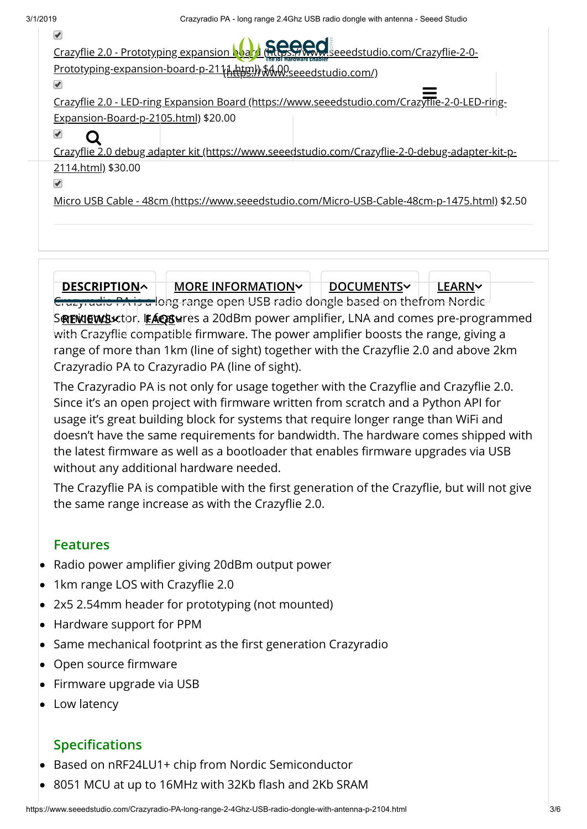| Crazyflie 2.0 - Prototyping expansion Nat Little Street Seeedstudio.com/Crazyflie-2-0-                                                                                                                                         |
|--------------------------------------------------------------------------------------------------------------------------------------------------------------------------------------------------------------------------------|
| Prototyping-expansion-board-p-21 \\\righty \\\righty\\\\righty\\\\righty\\\righty\\\righty\\\righty\\\righty\\\righty\\\righty\\\righty\\\righty\\\righty\\\righty\\\righty\\\\righty\\\\righty\\\\\\\\\\\\\\\\\\\\\\\\\\\\\\\ |
|                                                                                                                                                                                                                                |
| Crazyflie 2.0 - LED-ring Expansion Board (https://www.seeedstudio.com/CrazyTlie-2-0-LED-ring-                                                                                                                                  |
| Expansion-Board-p-2105.html) \$20.00                                                                                                                                                                                           |
|                                                                                                                                                                                                                                |
| Crazyflie 2.0 debug adapter kit (https://www.seeedstudio.com/Crazyflie-2-0-debug-adapter-kit-p-                                                                                                                                |
| 2114.html) \$30.00                                                                                                                                                                                                             |
|                                                                                                                                                                                                                                |
| Micro USB Cable - 48cm (https://www.seeedstudio.com/Micro-USB-Cable-48cm-p-1475.html) \$2.50                                                                                                                                   |
|                                                                                                                                                                                                                                |
|                                                                                                                                                                                                                                |

Crazyradio PA is a long range open USB radio dongle based on thefrom Nordic Semiconductor. It features a 20dBm power amplifier, LNA and comes pre-programmed **REVIEWS FAQS** with Crazyflie compatible firmware. The power amplifier boosts the range, giving a range of more than 1km (line of sight) together with the Crazyflie 2.0 and above 2km Crazyradio PA to Crazyradio PA (line of sight). **[DESCRIPTION](#page-0-0) AND MORE INFORMATION AND DOCUMENTS AND LEARNS** 

The Crazyradio PA is not only for usage together with the Crazyflie and Crazyflie 2.0. Since it's an open project with firmware written from scratch and a Python API for usage it's great building block for systems that require longer range than WiFi and doesn't have the same requirements for bandwidth. The hardware comes shipped with the latest firmware as well as a bootloader that enables firmware upgrades via USB without any additional hardware needed.

The Crazyflie PA is compatible with the first generation of the Crazyflie, but will not give the same range increase as with the Crazyflie 2.0.

## **Features**

- Radio power amplifier giving 20dBm output power
- 1km range LOS with Crazyflie 2.0
- 2x5 2.54mm header for prototyping (not mounted)
- Hardware support for PPM
- Same mechanical footprint as the first generation Crazyradio
- Open source firmware
- Firmware upgrade via USB
- Low latency

# **Specifications**

- Based on nRF24LU1+ chip from Nordic Semiconductor
- 8051 MCU at up to 16MHz with 32Kb flash and 2Kb SRAM